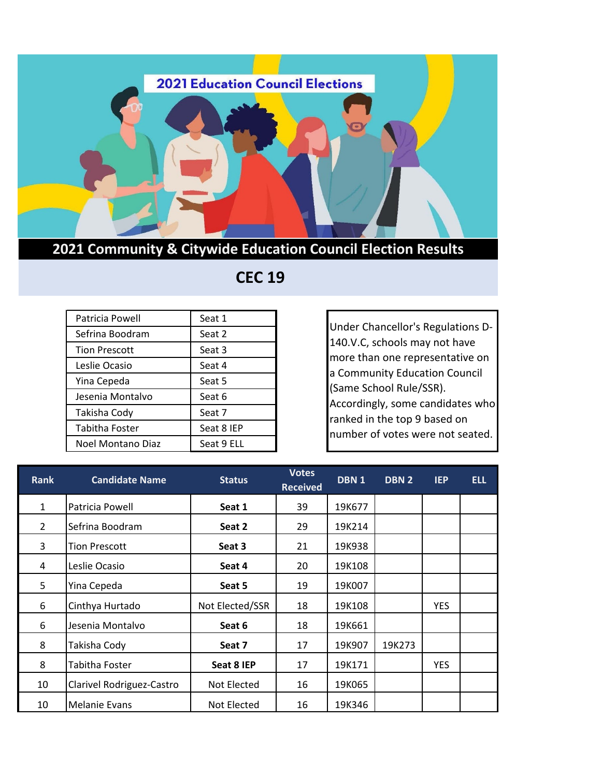

## **2021 Community & Citywide Education Council Election Results**

## **CEC 19**

| Patricia Powell      | Seat 1     |
|----------------------|------------|
| Sefrina Boodram      | Seat 2     |
| <b>Tion Prescott</b> | Seat 3     |
| Leslie Ocasio        | Seat 4     |
| Yina Cepeda          | Seat 5     |
| Jesenia Montalvo     | Seat 6     |
| Takisha Cody         | Seat 7     |
| Tabitha Foster       | Seat 8 IEP |
| Noel Montano Diaz    | Seat 9 ELL |

Under Chancellor's Regulations D-140.V.C, schools may not have more than one representative on a Community Education Council (Same School Rule/SSR). Accordingly, some candidates who ranked in the top 9 based on number of votes were not seated.

| <b>Rank</b>    | <b>Candidate Name</b>     | <b>Status</b>   | <b>Votes</b><br><b>Received</b> | DBN <sub>1</sub> | DBN 2  | <b>IEP</b> | <b>ELL</b> |
|----------------|---------------------------|-----------------|---------------------------------|------------------|--------|------------|------------|
| $\mathbf{1}$   | Patricia Powell           | Seat 1          | 39                              | 19K677           |        |            |            |
| $\overline{2}$ | Sefrina Boodram           | Seat 2          | 29                              | 19K214           |        |            |            |
| 3              | <b>Tion Prescott</b>      | Seat 3          | 21                              | 19K938           |        |            |            |
| 4              | Leslie Ocasio             | Seat 4          | 20                              | 19K108           |        |            |            |
| 5              | Yina Cepeda               | Seat 5          | 19                              | 19K007           |        |            |            |
| 6              | Cinthya Hurtado           | Not Elected/SSR | 18                              | 19K108           |        | <b>YES</b> |            |
| 6              | Jesenia Montalvo          | Seat 6          | 18                              | 19K661           |        |            |            |
| 8              | Takisha Cody              | Seat 7          | 17                              | 19K907           | 19K273 |            |            |
| 8              | Tabitha Foster            | Seat 8 IEP      | 17                              | 19K171           |        | <b>YES</b> |            |
| 10             | Clarivel Rodriguez-Castro | Not Elected     | 16                              | 19K065           |        |            |            |
| 10             | Melanie Evans             | Not Elected     | 16                              | 19K346           |        |            |            |